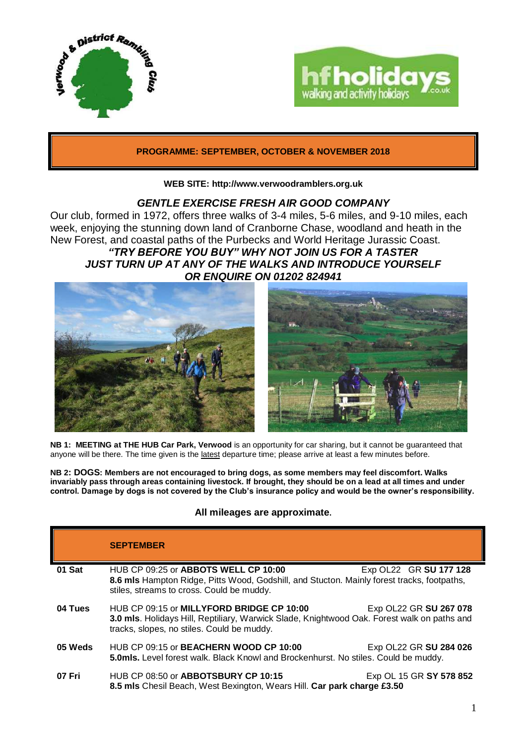



# **PROGRAMME: SEPTEMBER, OCTOBER & NOVEMBER 2018**

## **WEB SITE: http://www.verwoodramblers.org.uk**

# *GENTLE EXERCISE FRESH AIR GOOD COMPANY*

Our club, formed in 1972, offers three walks of 3-4 miles, 5-6 miles, and 9-10 miles, each week, enjoying the stunning down land of Cranborne Chase, woodland and heath in the New Forest, and coastal paths of the Purbecks and World Heritage Jurassic Coast. *"TRY BEFORE YOU BUY" WHY NOT JOIN US FOR A TASTER JUST TURN UP AT ANY OF THE WALKS AND INTRODUCE YOURSELF OR ENQUIRE ON 01202 824941*



**NB 1: MEETING at THE HUB Car Park, Verwood** is an opportunity for car sharing, but it cannot be guaranteed that anyone will be there. The time given is the latest departure time; please arrive at least a few minutes before.

**NB 2: DOGS: Members are not encouraged to bring dogs, as some members may feel discomfort. Walks invariably pass through areas containing livestock. If brought, they should be on a lead at all times and under control. Damage by dogs is not covered by the Club's insurance policy and would be the owner's responsibility.**

# **All mileages are approximate.**

|         | <b>SEPTEMBER</b>                                                                                                                                                                       |                                                                                                               |  |
|---------|----------------------------------------------------------------------------------------------------------------------------------------------------------------------------------------|---------------------------------------------------------------------------------------------------------------|--|
| 01 Sat  | HUB CP 09:25 or ABBOTS WELL CP 10:00<br>8.6 mls Hampton Ridge, Pitts Wood, Godshill, and Stucton. Mainly forest tracks, footpaths,<br>stiles, streams to cross. Could be muddy.        | Exp OL22 GR SU 177 128                                                                                        |  |
| 04 Tues | HUB CP 09:15 or MILLYFORD BRIDGE CP 10:00<br>3.0 mls. Holidays Hill, Reptiliary, Warwick Slade, Knightwood Oak. Forest walk on paths and<br>tracks, slopes, no stiles. Could be muddy. | Exp OL22 GR SU 267 078                                                                                        |  |
| 05 Weds | HUB CP 09:15 or <b>BEACHERN WOOD CP 10:00</b>                                                                                                                                          | Exp OL22 GR SU 284 026<br>5.0mls. Level forest walk. Black Knowl and Brockenhurst. No stiles. Could be muddy. |  |
| 07 Fri  | HUB CP 08:50 or <b>ABBOTSBURY CP 10:15</b><br>8.5 mls Chesil Beach, West Bexington, Wears Hill. Car park charge £3.50                                                                  | Exp OL 15 GR SY 578 852                                                                                       |  |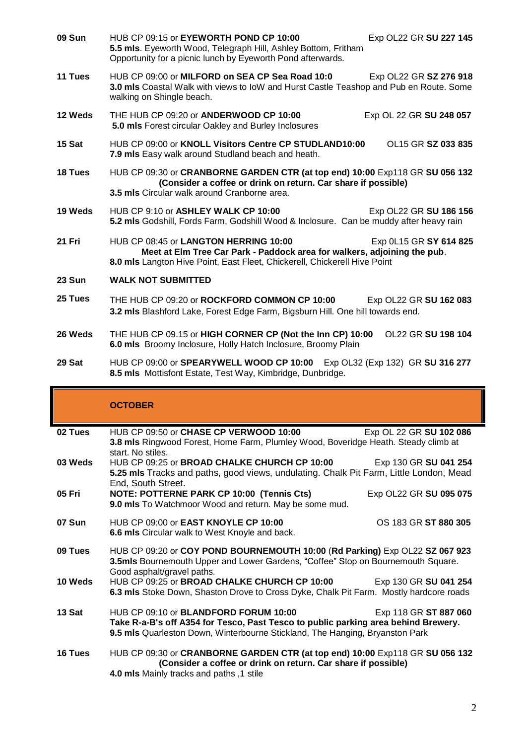| <b>09 Sun</b> | HUB CP 09:15 or EYEWORTH POND CP 10:00<br>Exp OL22 GR SU 227 145<br>5.5 mls. Eyeworth Wood, Telegraph Hill, Ashley Bottom, Fritham<br>Opportunity for a picnic lunch by Eyeworth Pond afterwards.                        |  |
|---------------|--------------------------------------------------------------------------------------------------------------------------------------------------------------------------------------------------------------------------|--|
| 11 Tues       | HUB CP 09:00 or MILFORD on SEA CP Sea Road 10:0<br>Exp OL22 GR SZ 276 918<br>3.0 mls Coastal Walk with views to loW and Hurst Castle Teashop and Pub en Route. Some<br>walking on Shingle beach.                         |  |
| 12 Weds       | THE HUB CP 09:20 or ANDERWOOD CP 10:00<br>Exp OL 22 GR SU 248 057<br>5.0 mls Forest circular Oakley and Burley Inclosures                                                                                                |  |
| 15 Sat        | HUB CP 09:00 or KNOLL Visitors Centre CP STUDLAND10:00<br>OL15 GR SZ 033 835<br>7.9 mls Easy walk around Studland beach and heath.                                                                                       |  |
| 18 Tues       | HUB CP 09:30 or CRANBORNE GARDEN CTR (at top end) 10:00 Exp118 GR SU 056 132<br>(Consider a coffee or drink on return. Car share if possible)<br>3.5 mls Circular walk around Cranborne area.                            |  |
| 19 Weds       | HUB CP 9:10 or ASHLEY WALK CP 10:00<br>Exp OL22 GR SU 186 156<br>5.2 mls Godshill, Fords Farm, Godshill Wood & Inclosure. Can be muddy after heavy rain                                                                  |  |
| 21 Fri        | HUB CP 08:45 or LANGTON HERRING 10:00<br>Exp 0L15 GR SY 614 825<br>Meet at Elm Tree Car Park - Paddock area for walkers, adjoining the pub.<br>8.0 mls Langton Hive Point, East Fleet, Chickerell, Chickerell Hive Point |  |
| 23 Sun        | <b>WALK NOT SUBMITTED</b>                                                                                                                                                                                                |  |
| 25 Tues       | THE HUB CP 09:20 or ROCKFORD COMMON CP 10:00<br>Exp OL22 GR SU 162 083<br>3.2 mls Blashford Lake, Forest Edge Farm, Bigsburn Hill. One hill towards end.                                                                 |  |
| 26 Weds       | THE HUB CP 09.15 or HIGH CORNER CP (Not the Inn CP) 10:00<br>OL22 GR SU 198 104<br>6.0 mls Broomy Inclosure, Holly Hatch Inclosure, Broomy Plain                                                                         |  |
| 29 Sat        | HUB CP 09:00 or SPEARYWELL WOOD CP 10:00 Exp OL32 (Exp 132) GR SU 316 277<br>8.5 mls Mottisfont Estate, Test Way, Kimbridge, Dunbridge.                                                                                  |  |
|               | <b>OCTOBER</b>                                                                                                                                                                                                           |  |

# **OCTOBER**

| 02 Tues       | HUB CP 09:50 or CHASE CP VERWOOD 10:00                                                                                                                       | Exp OL 22 GR SU 102 086 |  |
|---------------|--------------------------------------------------------------------------------------------------------------------------------------------------------------|-------------------------|--|
|               | 3.8 mls Ringwood Forest, Home Farm, Plumley Wood, Boveridge Heath. Steady climb at                                                                           |                         |  |
|               | start. No stiles.                                                                                                                                            |                         |  |
| 03 Weds       | HUB CP 09:25 or BROAD CHALKE CHURCH CP 10:00<br>5.25 mls Tracks and paths, good views, undulating. Chalk Pit Farm, Little London, Mead                       | Exp 130 GR SU 041 254   |  |
|               | End, South Street.                                                                                                                                           |                         |  |
| 05 Fri        | NOTE: POTTERNE PARK CP 10:00 (Tennis Cts)                                                                                                                    | Exp OL22 GR SU 095 075  |  |
|               | 9.0 mls To Watchmoor Wood and return. May be some mud.                                                                                                       |                         |  |
| <b>07 Sun</b> | HUB CP 09:00 or <b>EAST KNOYLE CP 10:00</b>                                                                                                                  | OS 183 GR ST 880 305    |  |
|               | 6.6 mls Circular walk to West Knoyle and back.                                                                                                               |                         |  |
| 09 Tues       | HUB CP 09:20 or COY POND BOURNEMOUTH 10:00 (Rd Parking) Exp OL22 SZ 067 923                                                                                  |                         |  |
|               | 3.5mls Bournemouth Upper and Lower Gardens, "Coffee" Stop on Bournemouth Square.                                                                             |                         |  |
|               | Good asphalt/gravel paths.                                                                                                                                   |                         |  |
| 10 Weds       | HUB CP 09:25 or BROAD CHALKE CHURCH CP 10:00 Exp 130 GR SU 041 254<br>6.3 mls Stoke Down, Shaston Drove to Cross Dyke, Chalk Pit Farm. Mostly hardcore roads |                         |  |
|               |                                                                                                                                                              |                         |  |
| 13 Sat        | HUB CP 09:10 or <b>BLANDFORD FORUM 10:00</b>                                                                                                                 | Exp 118 GR ST 887 060   |  |
|               | Take R-a-B's off A354 for Tesco, Past Tesco to public parking area behind Brewery.                                                                           |                         |  |
|               | 9.5 mls Quarleston Down, Winterbourne Stickland, The Hanging, Bryanston Park                                                                                 |                         |  |
| 16 Tues       | HUB CP 09:30 or CRANBORNE GARDEN CTR (at top end) 10:00 Exp118 GR SU 056 132                                                                                 |                         |  |
|               | (Consider a coffee or drink on return. Car share if possible)                                                                                                |                         |  |
|               | 4.0 mls Mainly tracks and paths ,1 stile                                                                                                                     |                         |  |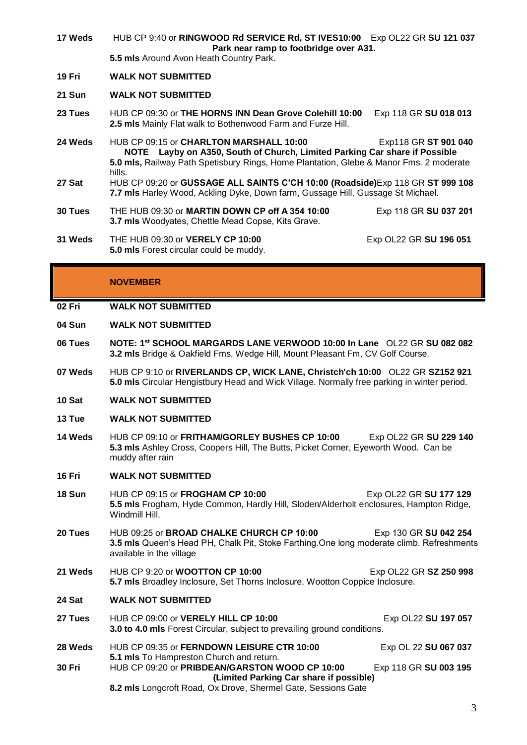| 17 Weds       | HUB CP 9:40 or RINGWOOD Rd SERVICE Rd, ST IVES10:00 Exp OL22 GR SU 121 037<br>Park near ramp to footbridge over A31.                                                                                                                                         |                        |
|---------------|--------------------------------------------------------------------------------------------------------------------------------------------------------------------------------------------------------------------------------------------------------------|------------------------|
|               | 5.5 mls Around Avon Heath Country Park.                                                                                                                                                                                                                      |                        |
| 19 Fri        | <b>WALK NOT SUBMITTED</b>                                                                                                                                                                                                                                    |                        |
| <b>21 Sun</b> | <b>WALK NOT SUBMITTED</b>                                                                                                                                                                                                                                    |                        |
| 23 Tues       | HUB CP 09:30 or THE HORNS INN Dean Grove Colehill 10:00<br>2.5 mls Mainly Flat walk to Bothenwood Farm and Furze Hill.                                                                                                                                       | Exp 118 GR SU 018 013  |
| 24 Weds       | HUB CP 09:15 or CHARLTON MARSHALL 10:00<br>Exp118 GR ST 901 040<br>NOTE Layby on A350, South of Church, Limited Parking Car share if Possible<br><b>5.0 mls, Railway Path Spetisbury Rings, Home Plantation, Glebe &amp; Manor Fms. 2 moderate</b><br>hills. |                        |
| 27 Sat        | HUB CP 09:20 or GUSSAGE ALL SAINTS C'CH 10:00 (Roadside)Exp 118 GR ST 999 108<br>7.7 mls Harley Wood, Ackling Dyke, Down farm, Gussage Hill, Gussage St Michael.                                                                                             |                        |
| 30 Tues       | THE HUB 09:30 or MARTIN DOWN CP off A 354 10:00<br><b>3.7 mls</b> Woodyates, Chettle Mead Copse, Kits Grave.                                                                                                                                                 | Exp 118 GR SU 037 201  |
| 31 Weds       | THE HUB 09:30 or <b>VERELY CP 10:00</b><br><b>5.0 mls</b> Forest circular could be muddy.                                                                                                                                                                    | Exp OL22 GR SU 196 051 |

### **NOVEMBER**

## **02 Fri WALK NOT SUBMITTED**

- **04 Sun WALK NOT SUBMITTED**
- **06 Tues NOTE: 1 st SCHOOL MARGARDS LANE VERWOOD 10:00 In Lane** OL22 GR **SU 082 082 3.2 mls** Bridge & Oakfield Fms, Wedge Hill, Mount Pleasant Fm, CV Golf Course.
- **07 Weds** HUB CP 9:10 or **RIVERLANDS CP, WICK LANE, Christch'ch 10:00** OL22 GR **SZ152 921 5.0 mls** Circular Hengistbury Head and Wick Village. Normally free parking in winter period.
- **10 Sat WALK NOT SUBMITTED**
- **13 Tue WALK NOT SUBMITTED**
- **14 Weds** HUB CP 09:10 or **FRITHAM/GORLEY BUSHES CP 10:00** Exp OL22 GR **SU 229 140 5.3 mls** Ashley Cross, Coopers Hill, The Butts, Picket Corner, Eyeworth Wood. Can be muddy after rain
- **16 Fri WALK NOT SUBMITTED**
- **18 Sun** HUB CP 09:15 or **FROGHAM CP 10:00** Exp OL22 GR **SU 177 129 5.5 mls** Frogham, Hyde Common, Hardly Hill, Sloden/Alderholt enclosures, Hampton Ridge, Windmill Hill.
- **20 Tues** HUB 09:25 or **BROAD CHALKE CHURCH CP 10:00** Exp 130 GR **SU 042 254 3.5 mls** Queen's Head PH, Chalk Pit, Stoke Farthing.One long moderate climb. Refreshments available in the village
- **21 Weds** HUB CP 9:20 or **WOOTTON CP 10:00** Exp OL22 GR **SZ 250 998 5.7 mls** Broadley Inclosure, Set Thorns Inclosure, Wootton Coppice Inclosure.

### **24 Sat WALK NOT SUBMITTED**

- **27 Tues** HUB CP 09:00 or **VERELY HILL CP 10:00** Exp OL22 **SU 197 057 3.0 to 4.0 mls** Forest Circular, subject to prevailing ground conditions.
- **28 Weds** HUB CP 09:35 or **FERNDOWN LEISURE CTR 10:00** Exp OL 22 **SU 067 037 5.1 mls** To Hampreston Church and return. **30 Fri** HUB CP 09:20 or **PRIBDEAN/GARSTON WOOD CP 10:00** Exp 118 GR **SU 003 195 (Limited Parking Car share if possible)**
	- **8.2 mls** Longcroft Road, Ox Drove, Shermel Gate, Sessions Gate